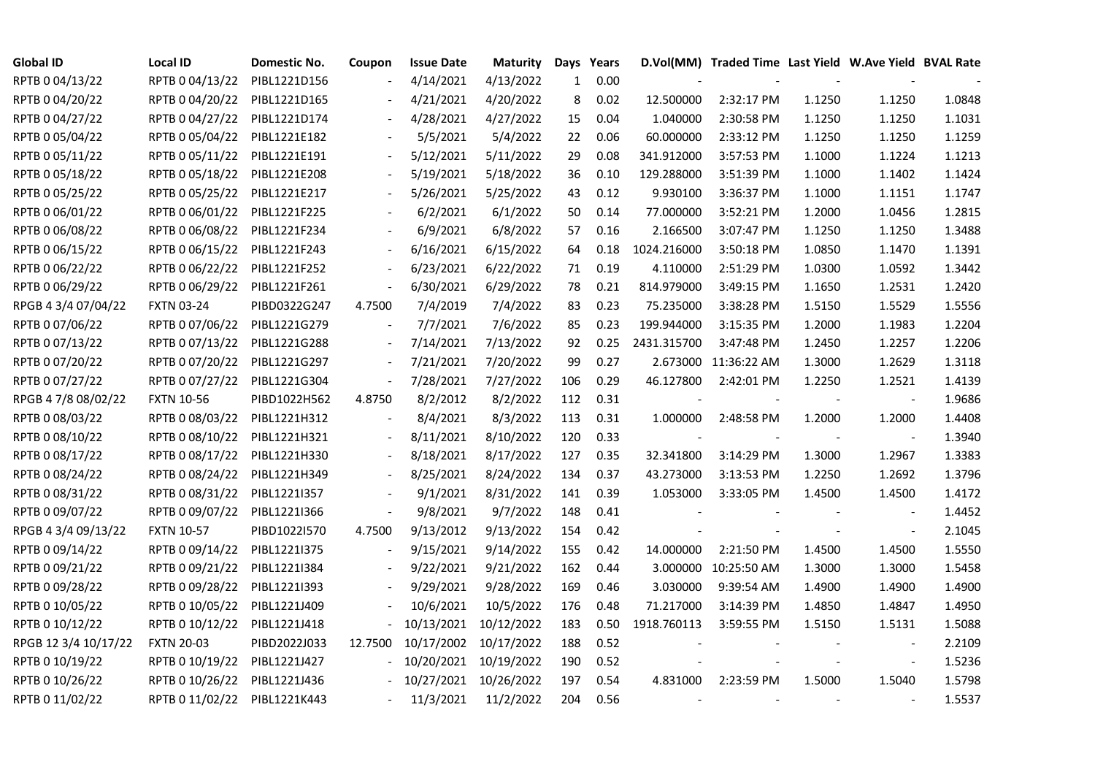| <b>Global ID</b>     | <b>Local ID</b>   | Domestic No. | Coupon                   | <b>Issue Date</b> | <b>Maturity</b> |     | Days Years |             | D.Vol(MM) Traded Time Last Yield W.Ave Yield BVAL Rate |                          |                          |        |
|----------------------|-------------------|--------------|--------------------------|-------------------|-----------------|-----|------------|-------------|--------------------------------------------------------|--------------------------|--------------------------|--------|
| RPTB 0 04/13/22      | RPTB 0 04/13/22   | PIBL1221D156 |                          | 4/14/2021         | 4/13/2022       | 1   | 0.00       |             |                                                        |                          |                          |        |
| RPTB 0 04/20/22      | RPTB 0 04/20/22   | PIBL1221D165 |                          | 4/21/2021         | 4/20/2022       | 8   | 0.02       | 12.500000   | 2:32:17 PM                                             | 1.1250                   | 1.1250                   | 1.0848 |
| RPTB 0 04/27/22      | RPTB 0 04/27/22   | PIBL1221D174 | $\blacksquare$           | 4/28/2021         | 4/27/2022       | 15  | 0.04       | 1.040000    | 2:30:58 PM                                             | 1.1250                   | 1.1250                   | 1.1031 |
| RPTB 0 05/04/22      | RPTB 0 05/04/22   | PIBL1221E182 |                          | 5/5/2021          | 5/4/2022        | 22  | 0.06       | 60.000000   | 2:33:12 PM                                             | 1.1250                   | 1.1250                   | 1.1259 |
| RPTB 0 05/11/22      | RPTB 0 05/11/22   | PIBL1221E191 |                          | 5/12/2021         | 5/11/2022       | 29  | 0.08       | 341.912000  | 3:57:53 PM                                             | 1.1000                   | 1.1224                   | 1.1213 |
| RPTB 0 05/18/22      | RPTB 0 05/18/22   | PIBL1221E208 |                          | 5/19/2021         | 5/18/2022       | 36  | 0.10       | 129.288000  | 3:51:39 PM                                             | 1.1000                   | 1.1402                   | 1.1424 |
| RPTB 0 05/25/22      | RPTB 0 05/25/22   | PIBL1221E217 |                          | 5/26/2021         | 5/25/2022       | 43  | 0.12       | 9.930100    | 3:36:37 PM                                             | 1.1000                   | 1.1151                   | 1.1747 |
| RPTB 0 06/01/22      | RPTB 0 06/01/22   | PIBL1221F225 |                          | 6/2/2021          | 6/1/2022        | 50  | 0.14       | 77.000000   | 3:52:21 PM                                             | 1.2000                   | 1.0456                   | 1.2815 |
| RPTB 0 06/08/22      | RPTB 0 06/08/22   | PIBL1221F234 |                          | 6/9/2021          | 6/8/2022        | 57  | 0.16       | 2.166500    | 3:07:47 PM                                             | 1.1250                   | 1.1250                   | 1.3488 |
| RPTB 0 06/15/22      | RPTB 0 06/15/22   | PIBL1221F243 | $\blacksquare$           | 6/16/2021         | 6/15/2022       | 64  | 0.18       | 1024.216000 | 3:50:18 PM                                             | 1.0850                   | 1.1470                   | 1.1391 |
| RPTB 0 06/22/22      | RPTB 0 06/22/22   | PIBL1221F252 | $\overline{\phantom{a}}$ | 6/23/2021         | 6/22/2022       | 71  | 0.19       | 4.110000    | 2:51:29 PM                                             | 1.0300                   | 1.0592                   | 1.3442 |
| RPTB 0 06/29/22      | RPTB 0 06/29/22   | PIBL1221F261 | $\blacksquare$           | 6/30/2021         | 6/29/2022       | 78  | 0.21       | 814.979000  | 3:49:15 PM                                             | 1.1650                   | 1.2531                   | 1.2420 |
| RPGB 4 3/4 07/04/22  | <b>FXTN 03-24</b> | PIBD0322G247 | 4.7500                   | 7/4/2019          | 7/4/2022        | 83  | 0.23       | 75.235000   | 3:38:28 PM                                             | 1.5150                   | 1.5529                   | 1.5556 |
| RPTB 0 07/06/22      | RPTB 0 07/06/22   | PIBL1221G279 | $\blacksquare$           | 7/7/2021          | 7/6/2022        | 85  | 0.23       | 199.944000  | 3:15:35 PM                                             | 1.2000                   | 1.1983                   | 1.2204 |
| RPTB 0 07/13/22      | RPTB 0 07/13/22   | PIBL1221G288 |                          | 7/14/2021         | 7/13/2022       | 92  | 0.25       | 2431.315700 | 3:47:48 PM                                             | 1.2450                   | 1.2257                   | 1.2206 |
| RPTB 0 07/20/22      | RPTB 0 07/20/22   | PIBL1221G297 |                          | 7/21/2021         | 7/20/2022       | 99  | 0.27       |             | 2.673000 11:36:22 AM                                   | 1.3000                   | 1.2629                   | 1.3118 |
| RPTB 0 07/27/22      | RPTB 0 07/27/22   | PIBL1221G304 | $\blacksquare$           | 7/28/2021         | 7/27/2022       | 106 | 0.29       | 46.127800   | 2:42:01 PM                                             | 1.2250                   | 1.2521                   | 1.4139 |
| RPGB 4 7/8 08/02/22  | <b>FXTN 10-56</b> | PIBD1022H562 | 4.8750                   | 8/2/2012          | 8/2/2022        | 112 | 0.31       |             |                                                        |                          | $\overline{\phantom{a}}$ | 1.9686 |
| RPTB 0 08/03/22      | RPTB 0 08/03/22   | PIBL1221H312 |                          | 8/4/2021          | 8/3/2022        | 113 | 0.31       | 1.000000    | 2:48:58 PM                                             | 1.2000                   | 1.2000                   | 1.4408 |
| RPTB 0 08/10/22      | RPTB 0 08/10/22   | PIBL1221H321 | $\blacksquare$           | 8/11/2021         | 8/10/2022       | 120 | 0.33       |             |                                                        | $\overline{\phantom{a}}$ | $\overline{\phantom{a}}$ | 1.3940 |
| RPTB 0 08/17/22      | RPTB 0 08/17/22   | PIBL1221H330 | $\blacksquare$           | 8/18/2021         | 8/17/2022       | 127 | 0.35       | 32.341800   | 3:14:29 PM                                             | 1.3000                   | 1.2967                   | 1.3383 |
| RPTB 0 08/24/22      | RPTB 0 08/24/22   | PIBL1221H349 |                          | 8/25/2021         | 8/24/2022       | 134 | 0.37       | 43.273000   | 3:13:53 PM                                             | 1.2250                   | 1.2692                   | 1.3796 |
| RPTB 0 08/31/22      | RPTB 0 08/31/22   | PIBL1221I357 |                          | 9/1/2021          | 8/31/2022       | 141 | 0.39       | 1.053000    | 3:33:05 PM                                             | 1.4500                   | 1.4500                   | 1.4172 |
| RPTB 0 09/07/22      | RPTB 0 09/07/22   | PIBL1221I366 | $\blacksquare$           | 9/8/2021          | 9/7/2022        | 148 | 0.41       |             |                                                        |                          |                          | 1.4452 |
| RPGB 4 3/4 09/13/22  | <b>FXTN 10-57</b> | PIBD1022I570 | 4.7500                   | 9/13/2012         | 9/13/2022       | 154 | 0.42       |             |                                                        |                          | $\blacksquare$           | 2.1045 |
| RPTB 0 09/14/22      | RPTB 0 09/14/22   | PIBL1221I375 | $\overline{\phantom{a}}$ | 9/15/2021         | 9/14/2022       | 155 | 0.42       | 14.000000   | 2:21:50 PM                                             | 1.4500                   | 1.4500                   | 1.5550 |
| RPTB 0 09/21/22      | RPTB 0 09/21/22   | PIBL1221I384 |                          | 9/22/2021         | 9/21/2022       | 162 | 0.44       | 3.000000    | 10:25:50 AM                                            | 1.3000                   | 1.3000                   | 1.5458 |
| RPTB 0 09/28/22      | RPTB 0 09/28/22   | PIBL1221I393 |                          | 9/29/2021         | 9/28/2022       | 169 | 0.46       | 3.030000    | 9:39:54 AM                                             | 1.4900                   | 1.4900                   | 1.4900 |
| RPTB 0 10/05/22      | RPTB 0 10/05/22   | PIBL1221J409 |                          | 10/6/2021         | 10/5/2022       | 176 | 0.48       | 71.217000   | 3:14:39 PM                                             | 1.4850                   | 1.4847                   | 1.4950 |
| RPTB 0 10/12/22      | RPTB 0 10/12/22   | PIBL1221J418 |                          | 10/13/2021        | 10/12/2022      | 183 | 0.50       | 1918.760113 | 3:59:55 PM                                             | 1.5150                   | 1.5131                   | 1.5088 |
| RPGB 12 3/4 10/17/22 | <b>FXTN 20-03</b> | PIBD2022J033 | 12.7500                  | 10/17/2002        | 10/17/2022      | 188 | 0.52       |             |                                                        |                          |                          | 2.2109 |
| RPTB 0 10/19/22      | RPTB 0 10/19/22   | PIBL1221J427 |                          | 10/20/2021        | 10/19/2022      | 190 | 0.52       |             |                                                        |                          | $\blacksquare$           | 1.5236 |
| RPTB 0 10/26/22      | RPTB 0 10/26/22   | PIBL1221J436 |                          | 10/27/2021        | 10/26/2022      | 197 | 0.54       | 4.831000    | 2:23:59 PM                                             | 1.5000                   | 1.5040                   | 1.5798 |
| RPTB 0 11/02/22      | RPTB 0 11/02/22   | PIBL1221K443 |                          | 11/3/2021         | 11/2/2022       | 204 | 0.56       |             |                                                        |                          | $\blacksquare$           | 1.5537 |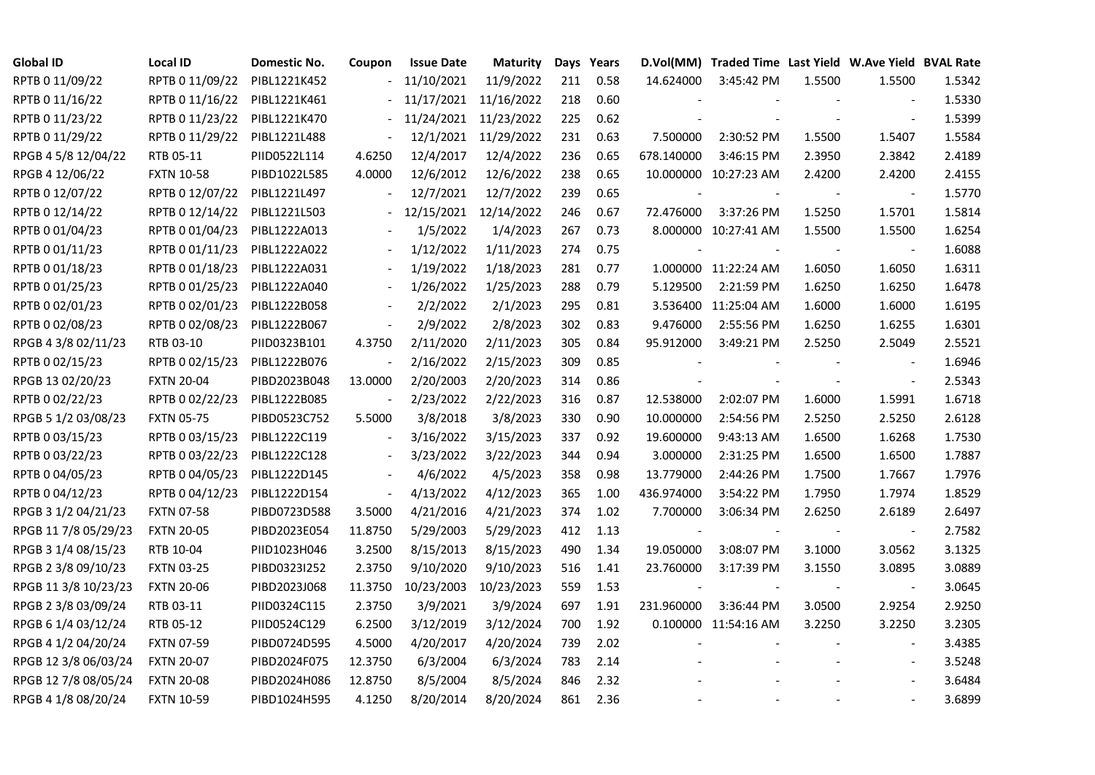| <b>Global ID</b>     | Local ID          | Domestic No. | Coupon                   | <b>Issue Date</b> | Maturity   |     | Days Years |                          | D.Vol(MM) Traded Time Last Yield W.Ave Yield BVAL Rate |        |                          |        |
|----------------------|-------------------|--------------|--------------------------|-------------------|------------|-----|------------|--------------------------|--------------------------------------------------------|--------|--------------------------|--------|
| RPTB 0 11/09/22      | RPTB 0 11/09/22   | PIBL1221K452 |                          | 11/10/2021        | 11/9/2022  | 211 | 0.58       | 14.624000                | 3:45:42 PM                                             | 1.5500 | 1.5500                   | 1.5342 |
| RPTB 0 11/16/22      | RPTB 0 11/16/22   | PIBL1221K461 |                          | 11/17/2021        | 11/16/2022 | 218 | 0.60       |                          |                                                        |        |                          | 1.5330 |
| RPTB 0 11/23/22      | RPTB 0 11/23/22   | PIBL1221K470 |                          | 11/24/2021        | 11/23/2022 | 225 | 0.62       |                          |                                                        |        |                          | 1.5399 |
| RPTB 0 11/29/22      | RPTB 0 11/29/22   | PIBL1221L488 | $\overline{\phantom{a}}$ | 12/1/2021         | 11/29/2022 | 231 | 0.63       | 7.500000                 | 2:30:52 PM                                             | 1.5500 | 1.5407                   | 1.5584 |
| RPGB 4 5/8 12/04/22  | RTB 05-11         | PIID0522L114 | 4.6250                   | 12/4/2017         | 12/4/2022  | 236 | 0.65       | 678.140000               | 3:46:15 PM                                             | 2.3950 | 2.3842                   | 2.4189 |
| RPGB 4 12/06/22      | <b>FXTN 10-58</b> | PIBD1022L585 | 4.0000                   | 12/6/2012         | 12/6/2022  | 238 | 0.65       |                          | 10.000000 10:27:23 AM                                  | 2.4200 | 2.4200                   | 2.4155 |
| RPTB 0 12/07/22      | RPTB 0 12/07/22   | PIBL1221L497 | $\blacksquare$           | 12/7/2021         | 12/7/2022  | 239 | 0.65       | $\overline{\phantom{a}}$ |                                                        |        | $\sim$                   | 1.5770 |
| RPTB 0 12/14/22      | RPTB 0 12/14/22   | PIBL1221L503 |                          | 12/15/2021        | 12/14/2022 | 246 | 0.67       | 72.476000                | 3:37:26 PM                                             | 1.5250 | 1.5701                   | 1.5814 |
| RPTB 0 01/04/23      | RPTB 0 01/04/23   | PIBL1222A013 |                          | 1/5/2022          | 1/4/2023   | 267 | 0.73       |                          | 8.000000 10:27:41 AM                                   | 1.5500 | 1.5500                   | 1.6254 |
| RPTB 0 01/11/23      | RPTB 0 01/11/23   | PIBL1222A022 |                          | 1/12/2022         | 1/11/2023  | 274 | 0.75       |                          |                                                        |        |                          | 1.6088 |
| RPTB 0 01/18/23      | RPTB 0 01/18/23   | PIBL1222A031 | $\overline{\phantom{a}}$ | 1/19/2022         | 1/18/2023  | 281 | 0.77       |                          | 1.000000 11:22:24 AM                                   | 1.6050 | 1.6050                   | 1.6311 |
| RPTB 0 01/25/23      | RPTB 0 01/25/23   | PIBL1222A040 |                          | 1/26/2022         | 1/25/2023  | 288 | 0.79       | 5.129500                 | 2:21:59 PM                                             | 1.6250 | 1.6250                   | 1.6478 |
| RPTB 0 02/01/23      | RPTB 0 02/01/23   | PIBL1222B058 |                          | 2/2/2022          | 2/1/2023   | 295 | 0.81       |                          | 3.536400 11:25:04 AM                                   | 1.6000 | 1.6000                   | 1.6195 |
| RPTB 0 02/08/23      | RPTB 0 02/08/23   | PIBL1222B067 | $\blacksquare$           | 2/9/2022          | 2/8/2023   | 302 | 0.83       | 9.476000                 | 2:55:56 PM                                             | 1.6250 | 1.6255                   | 1.6301 |
| RPGB 4 3/8 02/11/23  | RTB 03-10         | PIID0323B101 | 4.3750                   | 2/11/2020         | 2/11/2023  | 305 | 0.84       | 95.912000                | 3:49:21 PM                                             | 2.5250 | 2.5049                   | 2.5521 |
| RPTB 0 02/15/23      | RPTB 0 02/15/23   | PIBL1222B076 |                          | 2/16/2022         | 2/15/2023  | 309 | 0.85       |                          |                                                        |        |                          | 1.6946 |
| RPGB 13 02/20/23     | <b>FXTN 20-04</b> | PIBD2023B048 | 13.0000                  | 2/20/2003         | 2/20/2023  | 314 | 0.86       |                          |                                                        |        | $\overline{\phantom{a}}$ | 2.5343 |
| RPTB 0 02/22/23      | RPTB 0 02/22/23   | PIBL1222B085 | $\blacksquare$           | 2/23/2022         | 2/22/2023  | 316 | 0.87       | 12.538000                | 2:02:07 PM                                             | 1.6000 | 1.5991                   | 1.6718 |
| RPGB 5 1/2 03/08/23  | <b>FXTN 05-75</b> | PIBD0523C752 | 5.5000                   | 3/8/2018          | 3/8/2023   | 330 | 0.90       | 10.000000                | 2:54:56 PM                                             | 2.5250 | 2.5250                   | 2.6128 |
| RPTB 0 03/15/23      | RPTB 0 03/15/23   | PIBL1222C119 | $\blacksquare$           | 3/16/2022         | 3/15/2023  | 337 | 0.92       | 19.600000                | 9:43:13 AM                                             | 1.6500 | 1.6268                   | 1.7530 |
| RPTB 0 03/22/23      | RPTB 0 03/22/23   | PIBL1222C128 | $\blacksquare$           | 3/23/2022         | 3/22/2023  | 344 | 0.94       | 3.000000                 | 2:31:25 PM                                             | 1.6500 | 1.6500                   | 1.7887 |
| RPTB 0 04/05/23      | RPTB 0 04/05/23   | PIBL1222D145 |                          | 4/6/2022          | 4/5/2023   | 358 | 0.98       | 13.779000                | 2:44:26 PM                                             | 1.7500 | 1.7667                   | 1.7976 |
| RPTB 0 04/12/23      | RPTB 0 04/12/23   | PIBL1222D154 | $\Box$                   | 4/13/2022         | 4/12/2023  | 365 | 1.00       | 436.974000               | 3:54:22 PM                                             | 1.7950 | 1.7974                   | 1.8529 |
| RPGB 3 1/2 04/21/23  | <b>FXTN 07-58</b> | PIBD0723D588 | 3.5000                   | 4/21/2016         | 4/21/2023  | 374 | 1.02       | 7.700000                 | 3:06:34 PM                                             | 2.6250 | 2.6189                   | 2.6497 |
| RPGB 11 7/8 05/29/23 | <b>FXTN 20-05</b> | PIBD2023E054 | 11.8750                  | 5/29/2003         | 5/29/2023  | 412 | 1.13       |                          |                                                        |        |                          | 2.7582 |
| RPGB 3 1/4 08/15/23  | RTB 10-04         | PIID1023H046 | 3.2500                   | 8/15/2013         | 8/15/2023  | 490 | 1.34       | 19.050000                | 3:08:07 PM                                             | 3.1000 | 3.0562                   | 3.1325 |
| RPGB 2 3/8 09/10/23  | <b>FXTN 03-25</b> | PIBD0323I252 | 2.3750                   | 9/10/2020         | 9/10/2023  | 516 | 1.41       | 23.760000                | 3:17:39 PM                                             | 3.1550 | 3.0895                   | 3.0889 |
| RPGB 11 3/8 10/23/23 | <b>FXTN 20-06</b> | PIBD2023J068 | 11.3750                  | 10/23/2003        | 10/23/2023 | 559 | 1.53       | $\sim$                   |                                                        |        | $\sim$                   | 3.0645 |
| RPGB 2 3/8 03/09/24  | RTB 03-11         | PIID0324C115 | 2.3750                   | 3/9/2021          | 3/9/2024   | 697 | 1.91       | 231.960000               | 3:36:44 PM                                             | 3.0500 | 2.9254                   | 2.9250 |
| RPGB 6 1/4 03/12/24  | RTB 05-12         | PIID0524C129 | 6.2500                   | 3/12/2019         | 3/12/2024  | 700 | 1.92       |                          | 0.100000 11:54:16 AM                                   | 3.2250 | 3.2250                   | 3.2305 |
| RPGB 4 1/2 04/20/24  | <b>FXTN 07-59</b> | PIBD0724D595 | 4.5000                   | 4/20/2017         | 4/20/2024  | 739 | 2.02       |                          |                                                        |        |                          | 3.4385 |
| RPGB 12 3/8 06/03/24 | <b>FXTN 20-07</b> | PIBD2024F075 | 12.3750                  | 6/3/2004          | 6/3/2024   | 783 | 2.14       |                          |                                                        |        | $\overline{\phantom{a}}$ | 3.5248 |
| RPGB 12 7/8 08/05/24 | <b>FXTN 20-08</b> | PIBD2024H086 | 12.8750                  | 8/5/2004          | 8/5/2024   | 846 | 2.32       |                          |                                                        |        |                          | 3.6484 |
| RPGB 4 1/8 08/20/24  | <b>FXTN 10-59</b> | PIBD1024H595 | 4.1250                   | 8/20/2014         | 8/20/2024  | 861 | 2.36       |                          |                                                        |        |                          | 3.6899 |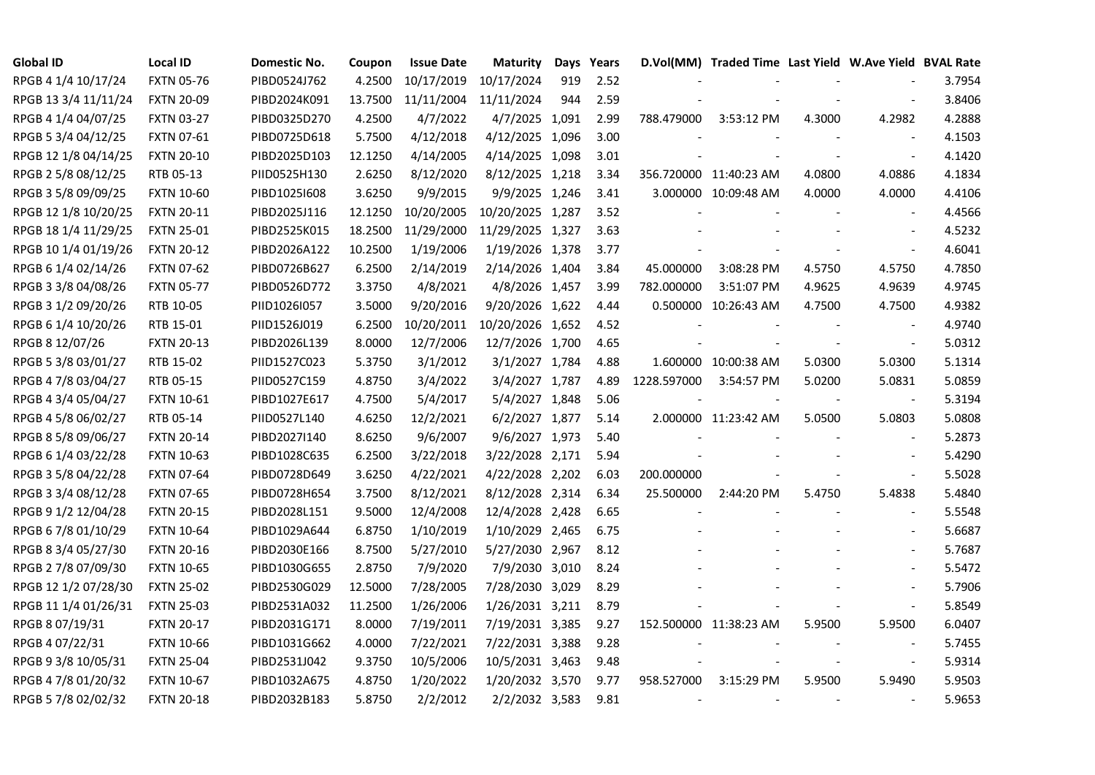| <b>Global ID</b>     | <b>Local ID</b>   | Domestic No. | Coupon  | <b>Issue Date</b> | <b>Maturity</b>  |     | Days Years |             | D.Vol(MM) Traded Time Last Yield W.Ave Yield BVAL Rate |        |                          |        |
|----------------------|-------------------|--------------|---------|-------------------|------------------|-----|------------|-------------|--------------------------------------------------------|--------|--------------------------|--------|
| RPGB 4 1/4 10/17/24  | <b>FXTN 05-76</b> | PIBD0524J762 | 4.2500  | 10/17/2019        | 10/17/2024       | 919 | 2.52       |             |                                                        |        |                          | 3.7954 |
| RPGB 13 3/4 11/11/24 | <b>FXTN 20-09</b> | PIBD2024K091 | 13.7500 | 11/11/2004        | 11/11/2024       | 944 | 2.59       |             |                                                        |        |                          | 3.8406 |
| RPGB 4 1/4 04/07/25  | <b>FXTN 03-27</b> | PIBD0325D270 | 4.2500  | 4/7/2022          | 4/7/2025 1,091   |     | 2.99       | 788.479000  | 3:53:12 PM                                             | 4.3000 | 4.2982                   | 4.2888 |
| RPGB 5 3/4 04/12/25  | <b>FXTN 07-61</b> | PIBD0725D618 | 5.7500  | 4/12/2018         | 4/12/2025 1,096  |     | 3.00       |             |                                                        |        | $\sim$                   | 4.1503 |
| RPGB 12 1/8 04/14/25 | <b>FXTN 20-10</b> | PIBD2025D103 | 12.1250 | 4/14/2005         | 4/14/2025 1,098  |     | 3.01       |             |                                                        |        | $\blacksquare$           | 4.1420 |
| RPGB 2 5/8 08/12/25  | RTB 05-13         | PIID0525H130 | 2.6250  | 8/12/2020         | 8/12/2025 1,218  |     | 3.34       |             | 356.720000 11:40:23 AM                                 | 4.0800 | 4.0886                   | 4.1834 |
| RPGB 3 5/8 09/09/25  | <b>FXTN 10-60</b> | PIBD10251608 | 3.6250  | 9/9/2015          | 9/9/2025 1,246   |     | 3.41       |             | 3.000000 10:09:48 AM                                   | 4.0000 | 4.0000                   | 4.4106 |
| RPGB 12 1/8 10/20/25 | <b>FXTN 20-11</b> | PIBD2025J116 | 12.1250 | 10/20/2005        | 10/20/2025 1,287 |     | 3.52       |             |                                                        |        |                          | 4.4566 |
| RPGB 18 1/4 11/29/25 | <b>FXTN 25-01</b> | PIBD2525K015 | 18.2500 | 11/29/2000        | 11/29/2025 1,327 |     | 3.63       |             |                                                        |        |                          | 4.5232 |
| RPGB 10 1/4 01/19/26 | <b>FXTN 20-12</b> | PIBD2026A122 | 10.2500 | 1/19/2006         | 1/19/2026 1,378  |     | 3.77       |             |                                                        |        | $\overline{\phantom{a}}$ | 4.6041 |
| RPGB 6 1/4 02/14/26  | <b>FXTN 07-62</b> | PIBD0726B627 | 6.2500  | 2/14/2019         | 2/14/2026 1,404  |     | 3.84       | 45.000000   | 3:08:28 PM                                             | 4.5750 | 4.5750                   | 4.7850 |
| RPGB 3 3/8 04/08/26  | <b>FXTN 05-77</b> | PIBD0526D772 | 3.3750  | 4/8/2021          | 4/8/2026 1,457   |     | 3.99       | 782.000000  | 3:51:07 PM                                             | 4.9625 | 4.9639                   | 4.9745 |
| RPGB 3 1/2 09/20/26  | RTB 10-05         | PIID1026I057 | 3.5000  | 9/20/2016         | 9/20/2026 1,622  |     | 4.44       |             | 0.500000 10:26:43 AM                                   | 4.7500 | 4.7500                   | 4.9382 |
| RPGB 6 1/4 10/20/26  | RTB 15-01         | PIID1526J019 | 6.2500  | 10/20/2011        | 10/20/2026 1,652 |     | 4.52       |             |                                                        |        | $\blacksquare$           | 4.9740 |
| RPGB 8 12/07/26      | <b>FXTN 20-13</b> | PIBD2026L139 | 8.0000  | 12/7/2006         | 12/7/2026 1,700  |     | 4.65       |             |                                                        |        | $\blacksquare$           | 5.0312 |
| RPGB 5 3/8 03/01/27  | RTB 15-02         | PIID1527C023 | 5.3750  | 3/1/2012          | 3/1/2027 1,784   |     | 4.88       |             | 1.600000 10:00:38 AM                                   | 5.0300 | 5.0300                   | 5.1314 |
| RPGB 4 7/8 03/04/27  | RTB 05-15         | PIID0527C159 | 4.8750  | 3/4/2022          | 3/4/2027 1,787   |     | 4.89       | 1228.597000 | 3:54:57 PM                                             | 5.0200 | 5.0831                   | 5.0859 |
| RPGB 4 3/4 05/04/27  | <b>FXTN 10-61</b> | PIBD1027E617 | 4.7500  | 5/4/2017          | 5/4/2027 1,848   |     | 5.06       |             |                                                        |        | $\blacksquare$           | 5.3194 |
| RPGB 4 5/8 06/02/27  | RTB 05-14         | PIID0527L140 | 4.6250  | 12/2/2021         | 6/2/2027 1,877   |     | 5.14       |             | 2.000000 11:23:42 AM                                   | 5.0500 | 5.0803                   | 5.0808 |
| RPGB 8 5/8 09/06/27  | <b>FXTN 20-14</b> | PIBD2027I140 | 8.6250  | 9/6/2007          | 9/6/2027 1,973   |     | 5.40       |             |                                                        |        | $\blacksquare$           | 5.2873 |
| RPGB 6 1/4 03/22/28  | <b>FXTN 10-63</b> | PIBD1028C635 | 6.2500  | 3/22/2018         | 3/22/2028 2,171  |     | 5.94       |             |                                                        |        | $\sim$                   | 5.4290 |
| RPGB 3 5/8 04/22/28  | <b>FXTN 07-64</b> | PIBD0728D649 | 3.6250  | 4/22/2021         | 4/22/2028 2,202  |     | 6.03       | 200.000000  |                                                        |        | $\blacksquare$           | 5.5028 |
| RPGB 3 3/4 08/12/28  | <b>FXTN 07-65</b> | PIBD0728H654 | 3.7500  | 8/12/2021         | 8/12/2028 2,314  |     | 6.34       | 25.500000   | 2:44:20 PM                                             | 5.4750 | 5.4838                   | 5.4840 |
| RPGB 9 1/2 12/04/28  | <b>FXTN 20-15</b> | PIBD2028L151 | 9.5000  | 12/4/2008         | 12/4/2028 2,428  |     | 6.65       |             |                                                        |        | $\overline{\phantom{a}}$ | 5.5548 |
| RPGB 67/8 01/10/29   | <b>FXTN 10-64</b> | PIBD1029A644 | 6.8750  | 1/10/2019         | 1/10/2029 2,465  |     | 6.75       |             |                                                        |        | $\blacksquare$           | 5.6687 |
| RPGB 8 3/4 05/27/30  | <b>FXTN 20-16</b> | PIBD2030E166 | 8.7500  | 5/27/2010         | 5/27/2030 2,967  |     | 8.12       |             |                                                        |        | $\blacksquare$           | 5.7687 |
| RPGB 2 7/8 07/09/30  | <b>FXTN 10-65</b> | PIBD1030G655 | 2.8750  | 7/9/2020          | 7/9/2030 3,010   |     | 8.24       |             |                                                        |        | $\sim$                   | 5.5472 |
| RPGB 12 1/2 07/28/30 | <b>FXTN 25-02</b> | PIBD2530G029 | 12.5000 | 7/28/2005         | 7/28/2030 3,029  |     | 8.29       |             |                                                        |        | $\sim$                   | 5.7906 |
| RPGB 11 1/4 01/26/31 | <b>FXTN 25-03</b> | PIBD2531A032 | 11.2500 | 1/26/2006         | 1/26/2031 3,211  |     | 8.79       |             |                                                        |        | $\sim$                   | 5.8549 |
| RPGB 8 07/19/31      | <b>FXTN 20-17</b> | PIBD2031G171 | 8.0000  | 7/19/2011         | 7/19/2031 3,385  |     | 9.27       |             | 152.500000 11:38:23 AM                                 | 5.9500 | 5.9500                   | 6.0407 |
| RPGB 4 07/22/31      | <b>FXTN 10-66</b> | PIBD1031G662 | 4.0000  | 7/22/2021         | 7/22/2031 3,388  |     | 9.28       |             |                                                        |        | $\overline{\phantom{a}}$ | 5.7455 |
| RPGB 9 3/8 10/05/31  | <b>FXTN 25-04</b> | PIBD2531J042 | 9.3750  | 10/5/2006         | 10/5/2031 3,463  |     | 9.48       |             |                                                        |        | $\blacksquare$           | 5.9314 |
| RPGB 4 7/8 01/20/32  | <b>FXTN 10-67</b> | PIBD1032A675 | 4.8750  | 1/20/2022         | 1/20/2032 3,570  |     | 9.77       | 958.527000  | 3:15:29 PM                                             | 5.9500 | 5.9490                   | 5.9503 |
| RPGB 5 7/8 02/02/32  | <b>FXTN 20-18</b> | PIBD2032B183 | 5.8750  | 2/2/2012          | 2/2/2032 3,583   |     | 9.81       |             |                                                        |        | $\blacksquare$           | 5.9653 |